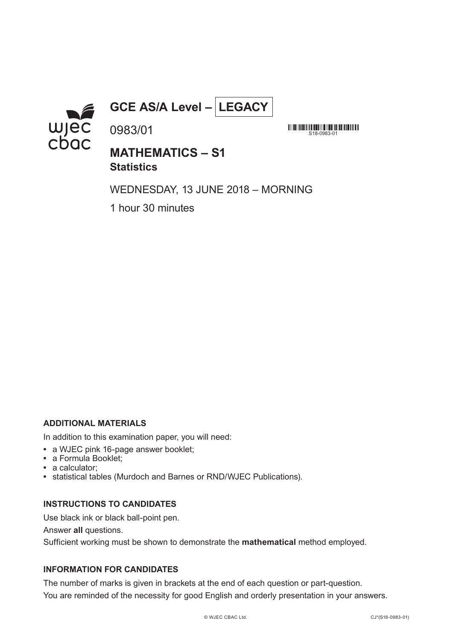

# **GCE AS/A Level – LEGACY**

<u> All an India alla dina all'in line dina la parte della dina dina </u>  $S18-0983-01$ 

## **MATHEMATICS – S1 Statistics**

WEDNESDAY, 13 JUNE 2018 – MORNING

1 hour 30 minutes

0983/01

### **ADDITIONAL MATERIALS**

In addition to this examination paper, you will need:

- **•** a WJEC pink 16-page answer booklet;
- **•** a Formula Booklet;
- **•** a calculator;
- **•** statistical tables (Murdoch and Barnes or RND/WJEC Publications).

#### **INSTRUCTIONS TO CANDIDATES**

Use black ink or black ball-point pen.

Answer **all** questions.

Sufficient working must be shown to demonstrate the **mathematical** method employed.

### **INFORMATION FOR CANDIDATES**

The number of marks is given in brackets at the end of each question or part-question. You are reminded of the necessity for good English and orderly presentation in your answers.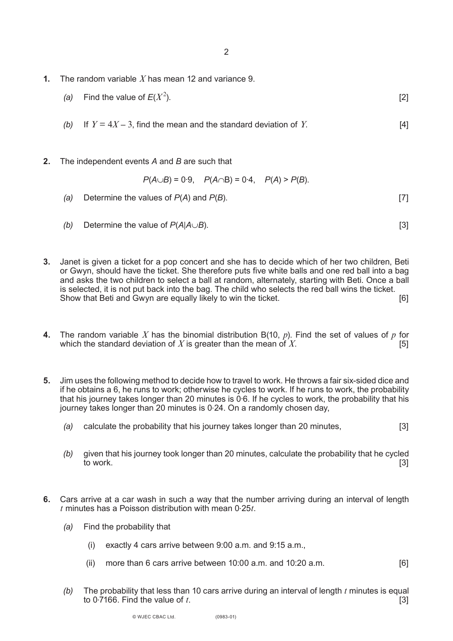- **1.** The random variable *X* has mean 12 and variance 9.
	- *(a)* Find the value of  $E(X^2)$ . ).  $[2]$
	- *(b)* If  $Y = 4X 3$ , find the mean and the standard deviation of *Y*. [4]
- **2.** The independent events *A* and *B* are such that

$$
P(A \cup B) = 0.9
$$
,  $P(A \cap B) = 0.4$ ,  $P(A) > P(B)$ .

- *(a)* Determine the values of *P*(*A*) and *P*(*B*). [7]
- *(b)* Determine the value of *P*(*A*|*A*∪*B*). [3]
- **3.** Janet is given a ticket for a pop concert and she has to decide which of her two children, Beti or Gwyn, should have the ticket. She therefore puts five white balls and one red ball into a bag and asks the two children to select a ball at random, alternately, starting with Beti. Once a ball is selected, it is not put back into the bag. The child who selects the red ball wins the ticket. Show that Beti and Gwyn are equally likely to win the ticket.
- **4.** The random variable *X* has the binomial distribution B(10,  $p$ ). Find the set of values of  $p$  for which the standard deviation of  $X$  is greater than the mean of  $X$ . which the standard deviation of  $X$  is greater than the mean of  $X$ .
- **5.** Jim uses the following method to decide how to travel to work. He throws a fair six-sided dice and if he obtains a 6, he runs to work; otherwise he cycles to work. If he runs to work, the probability that his journey takes longer than 20 minutes is 0.6. If he cycles to work, the probability that his journey takes longer than 20 minutes is 0.24. On a randomly chosen day,
	- *(a)* calculate the probability that his journey takes longer than 20 minutes, [3]
	- *(b)* given that his journey took longer than 20 minutes, calculate the probability that he cycled to work. [3]
- **6.** Cars arrive at a car wash in such a way that the number arriving during an interval of length *t* minutes has a Poisson distribution with mean 0.25*t*.
	- *(a)* Find the probability that
		- (i) exactly 4 cars arrive between 9:00 a.m. and 9:15 a.m.,
		- (ii) more than 6 cars arrive between  $10:00$  a.m. and  $10:20$  a.m.  $\qquad \qquad$  [6]
	- *(b)* The probability that less than 10 cars arrive during an interval of length *t* minutes is equal to  $0.7166$ . Find the value of *t*.